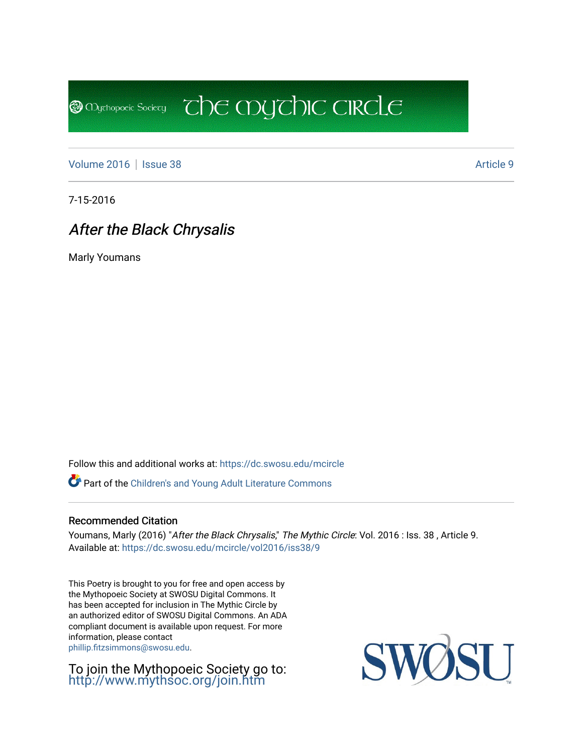[Volume 2016](https://dc.swosu.edu/mcircle/vol2016) | [Issue 38](https://dc.swosu.edu/mcircle/vol2016/iss38) Article 9

**@** Mychopoeic Sociecy

7-15-2016

## After the Black Chrysalis

Marly Youmans

Follow this and additional works at: [https://dc.swosu.edu/mcircle](https://dc.swosu.edu/mcircle?utm_source=dc.swosu.edu%2Fmcircle%2Fvol2016%2Fiss38%2F9&utm_medium=PDF&utm_campaign=PDFCoverPages) 

Part of the [Children's and Young Adult Literature Commons](http://network.bepress.com/hgg/discipline/1289?utm_source=dc.swosu.edu%2Fmcircle%2Fvol2016%2Fiss38%2F9&utm_medium=PDF&utm_campaign=PDFCoverPages) 

#### Recommended Citation

Youmans, Marly (2016) "After the Black Chrysalis," The Mythic Circle: Vol. 2016 : Iss. 38, Article 9. Available at: [https://dc.swosu.edu/mcircle/vol2016/iss38/9](https://dc.swosu.edu/mcircle/vol2016/iss38/9?utm_source=dc.swosu.edu%2Fmcircle%2Fvol2016%2Fiss38%2F9&utm_medium=PDF&utm_campaign=PDFCoverPages)

 $\overline{c}$  the mychic circle

This Poetry is brought to you for free and open access by the Mythopoeic Society at SWOSU Digital Commons. It has been accepted for inclusion in The Mythic Circle by an authorized editor of SWOSU Digital Commons. An ADA compliant document is available upon request. For more information, please contact [phillip.fitzsimmons@swosu.edu](mailto:phillip.fitzsimmons@swosu.edu).

To join the Mythopoeic Society go to: <http://www.mythsoc.org/join.htm>

SU SWO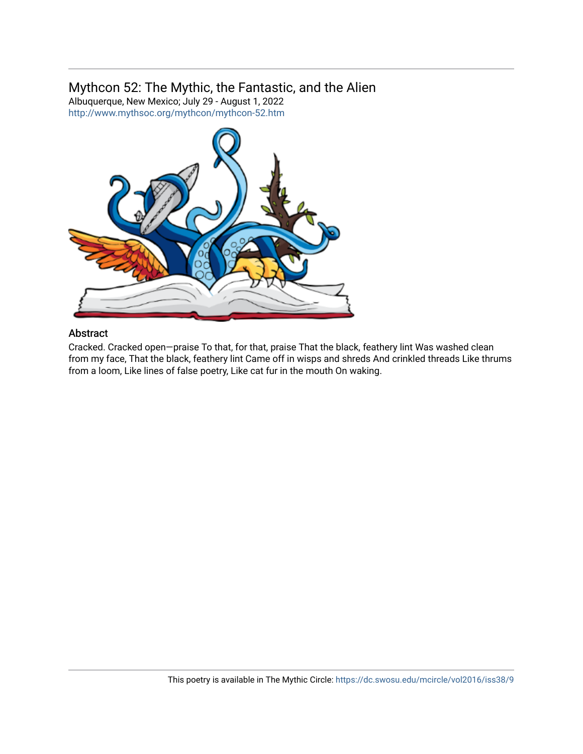### Mythcon 52: The Mythic, the Fantastic, and the Alien

Albuquerque, New Mexico; July 29 - August 1, 2022 <http://www.mythsoc.org/mythcon/mythcon-52.htm>



#### Abstract

Cracked. Cracked open—praise To that, for that, praise That the black, feathery lint Was washed clean from my face, That the black, feathery lint Came off in wisps and shreds And crinkled threads Like thrums from a loom, Like lines of false poetry, Like cat fur in the mouth On waking.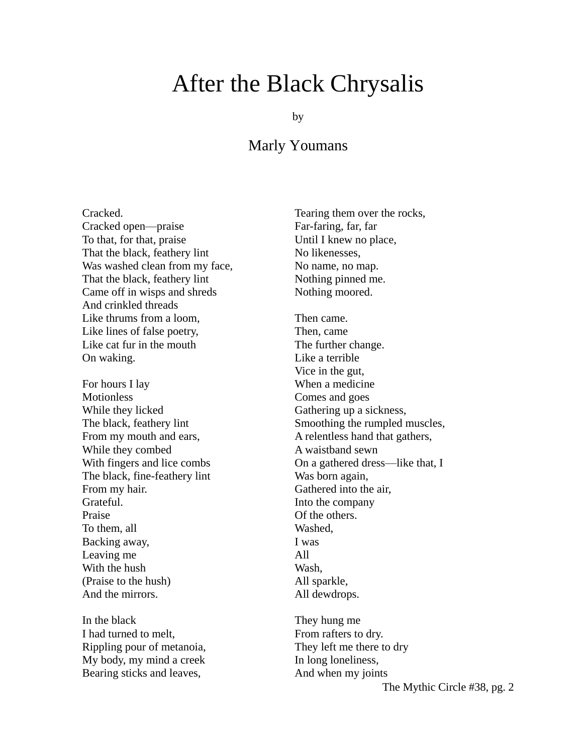# After the Black Chrysalis

by

## Marly Youmans

Cracked. Cracked open—praise To that, for that, praise That the black, feathery lint Was washed clean from my face, That the black, feathery lint Came off in wisps and shreds And crinkled threads Like thrums from a loom, Like lines of false poetry, Like cat fur in the mouth On waking.

For hours I lay Motionless While they licked The black, feathery lint From my mouth and ears, While they combed With fingers and lice combs The black, fine-feathery lint From my hair. Grateful. Praise To them, all Backing away, Leaving me With the hush (Praise to the hush) And the mirrors.

In the black I had turned to melt, Rippling pour of metanoia, My body, my mind a creek Bearing sticks and leaves,

Tearing them over the rocks, Far-faring, far, far Until I knew no place, No likenesses, No name, no map. Nothing pinned me. Nothing moored.

Then came. Then, came The further change. Like a terrible Vice in the gut, When a medicine Comes and goes Gathering up a sickness, Smoothing the rumpled muscles, A relentless hand that gathers, A waistband sewn On a gathered dress—like that, I Was born again, Gathered into the air, Into the company Of the others. Washed, I was All Wash, All sparkle, All dewdrops.

They hung me From rafters to dry. They left me there to dry In long loneliness, And when my joints

The Mythic Circle #38, pg. 2